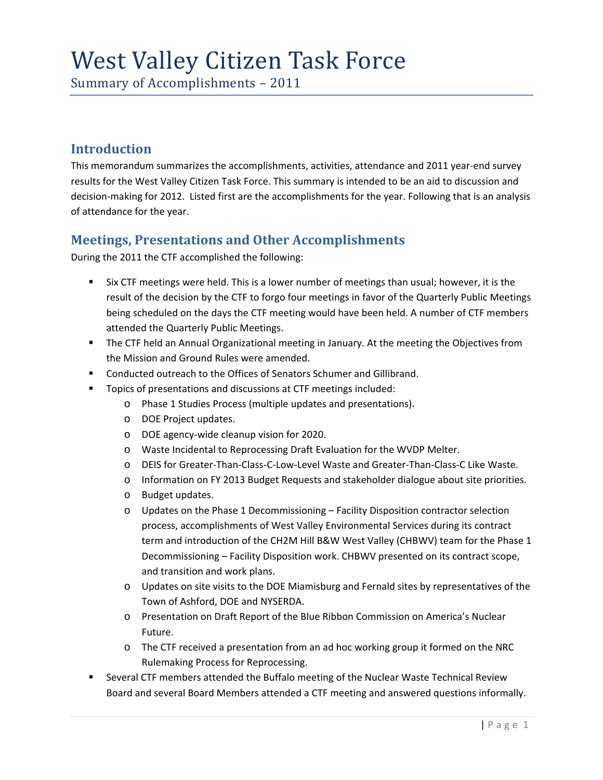# West Valley Citizen Task Force

Summary of Accomplishments – 2011

# **Introduction**

This memorandum summarizes the accomplishments, activities, attendance and 2011 year-end survey results for the West Valley Citizen Task Force. This summary is intended to be an aid to discussion and decision‐making for 2012. Listed first are the accomplishments for the year. Following that is an analysis of attendance for the year.

# **Meetings, Presentations and Other Accomplishments**

During the 2011 the CTF accomplished the following:

- Six CTF meetings were held. This is a lower number of meetings than usual; however, it is the result of the decision by the CTF to forgo four meetings in favor of the Quarterly Public Meetings being scheduled on the days the CTF meeting would have been held. A number of CTF members attended the Quarterly Public Meetings.
- The CTF held an Annual Organizational meeting in January. At the meeting the Objectives from the Mission and Ground Rules were amended.
- **EXECONDERGY CONDUCTED UPS CONDUCTS** Conducted outreach to the Offices of Senators Schumer and Gillibrand.
- **Topics of presentations and discussions at CTF meetings included:** 
	- o Phase 1 Studies Process (multiple updates and presentations).
	- o DOE Project updates.
	- o DOE agency‐wide cleanup vision for 2020.
	- o Waste Incidental to Reprocessing Draft Evaluation for the WVDP Melter.
	- o DEIS for Greater‐Than‐Class‐C‐Low‐Level Waste and Greater‐Than‐Class‐C Like Waste.
	- o Information on FY 2013 Budget Requests and stakeholder dialogue about site priorities.
	- o Budget updates.
	- o Updates on the Phase 1 Decommissioning Facility Disposition contractor selection process, accomplishments of West Valley Environmental Services during its contract term and introduction of the CH2M Hill B&W West Valley (CHBWV) team for the Phase 1 Decommissioning – Facility Disposition work. CHBWV presented on its contract scope, and transition and work plans.
	- o Updates on site visits to the DOE Miamisburg and Fernald sites by representatives of the Town of Ashford, DOE and NYSERDA.
	- o Presentation on Draft Report of the Blue Ribbon Commission on America's Nuclear Future.
	- o The CTF received a presentation from an ad hoc working group it formed on the NRC Rulemaking Process for Reprocessing.
- **Several CTF members attended the Buffalo meeting of the Nuclear Waste Technical Review** Board and several Board Members attended a CTF meeting and answered questions informally.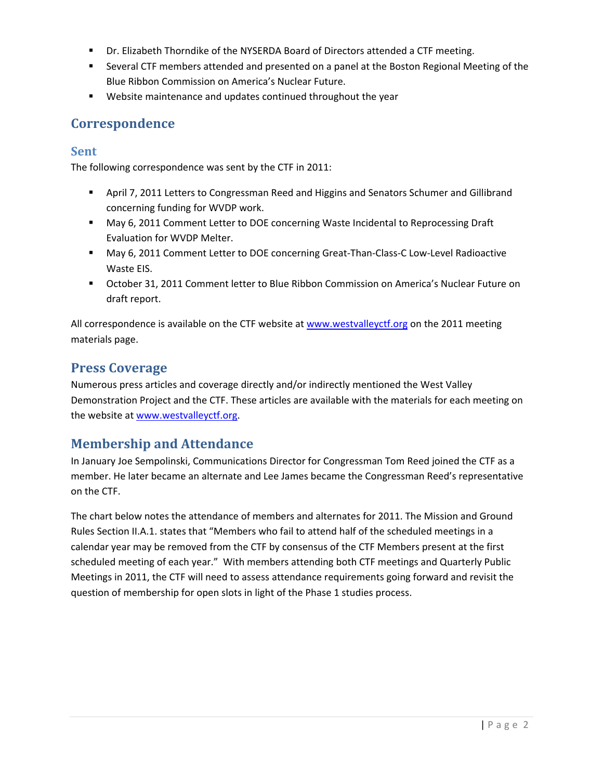- Dr. Elizabeth Thorndike of the NYSERDA Board of Directors attended a CTF meeting.
- Several CTF members attended and presented on a panel at the Boston Regional Meeting of the Blue Ribbon Commission on America's Nuclear Future.
- Website maintenance and updates continued throughout the year

# **Correspondence**

## **Sent**

The following correspondence was sent by the CTF in 2011:

- **April 7, 2011 Letters to Congressman Reed and Higgins and Senators Schumer and Gillibrand** concerning funding for WVDP work.
- May 6, 2011 Comment Letter to DOE concerning Waste Incidental to Reprocessing Draft Evaluation for WVDP Melter.
- May 6, 2011 Comment Letter to DOE concerning Great-Than-Class-C Low-Level Radioactive Waste EIS.
- October 31, 2011 Comment letter to Blue Ribbon Commission on America's Nuclear Future on draft report.

All correspondence is available on the CTF website at www.westvalleyctf.org on the 2011 meeting materials page.

## **Press Coverage**

Numerous press articles and coverage directly and/or indirectly mentioned the West Valley Demonstration Project and the CTF. These articles are available with the materials for each meeting on the website at www.westvalleyctf.org.

# **Membership and Attendance**

In January Joe Sempolinski, Communications Director for Congressman Tom Reed joined the CTF as a member. He later became an alternate and Lee James became the Congressman Reed's representative on the CTF.

The chart below notes the attendance of members and alternates for 2011. The Mission and Ground Rules Section II.A.1. states that "Members who fail to attend half of the scheduled meetings in a calendar year may be removed from the CTF by consensus of the CTF Members present at the first scheduled meeting of each year." With members attending both CTF meetings and Quarterly Public Meetings in 2011, the CTF will need to assess attendance requirements going forward and revisit the question of membership for open slots in light of the Phase 1 studies process.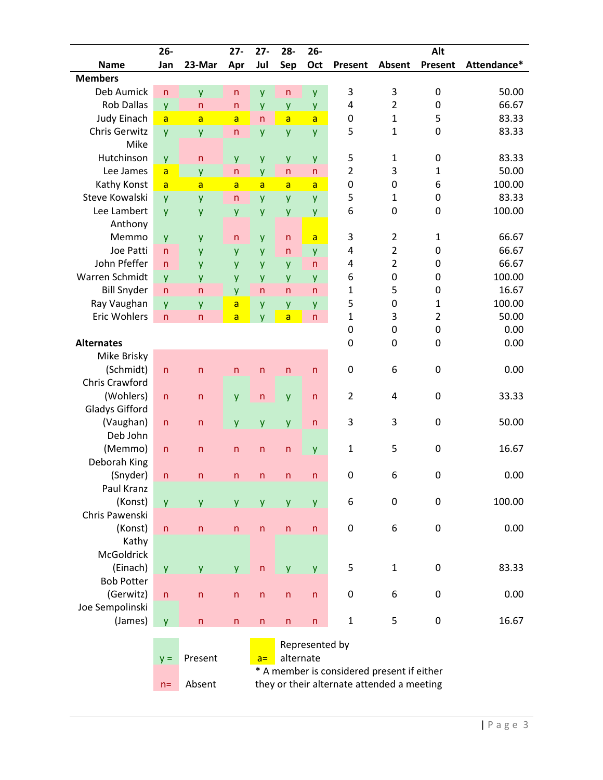|                       | $26 -$         |                         | $27 -$         | $27 -$                  | $28 -$                                     | $26 -$         |                                            | Alt                           |                  |             |  |  |  |  |
|-----------------------|----------------|-------------------------|----------------|-------------------------|--------------------------------------------|----------------|--------------------------------------------|-------------------------------|------------------|-------------|--|--|--|--|
| <b>Name</b>           | Jan            | 23-Mar                  | Apr            | Jul                     | Sep                                        | Oct            | Present                                    | Absent                        | Present          | Attendance* |  |  |  |  |
| <b>Members</b>        |                |                         |                |                         |                                            |                |                                            |                               |                  |             |  |  |  |  |
| Deb Aumick            | $\mathsf{n}$   | y                       | $\mathsf{n}$   | y                       | $\mathsf{n}$                               | y              | 3                                          | 3                             | $\mathbf 0$      | 50.00       |  |  |  |  |
| <b>Rob Dallas</b>     | y              | $\mathsf{n}$            | $\mathsf{n}$   | y                       | y                                          | y              | 4                                          | $\overline{2}$<br>$\mathbf 0$ |                  | 66.67       |  |  |  |  |
| <b>Judy Einach</b>    | $\overline{a}$ | $\overline{a}$          | $\overline{a}$ | $\overline{\mathsf{n}}$ | $\overline{a}$                             | $\overline{a}$ | $\boldsymbol{0}$                           | $\mathbf{1}$                  | 5                | 83.33       |  |  |  |  |
| <b>Chris Gerwitz</b>  | y              | y                       | $\mathsf{n}$   | y                       | y                                          | y              | 5                                          | 1                             | $\mathbf 0$      | 83.33       |  |  |  |  |
| Mike                  |                |                         |                |                         |                                            |                |                                            |                               |                  |             |  |  |  |  |
| Hutchinson            | y              | $\mathsf{n}$            | y              | y                       | y                                          | y              | 5                                          | $\mathbf{1}$                  | $\boldsymbol{0}$ | 83.33       |  |  |  |  |
| Lee James             | a              | y                       | $\mathsf{n}$   | y                       | $\mathsf{n}$                               | n              | $\overline{2}$                             | 3                             | 1                | 50.00       |  |  |  |  |
| Kathy Konst           | $\overline{a}$ | $\overline{a}$          | a              | a                       | $\overline{a}$                             | a              | 0                                          | 0                             | 6                | 100.00      |  |  |  |  |
| Steve Kowalski        | y              | y                       | n              | y                       | y                                          | y              | 5                                          | $\mathbf{1}$                  | $\boldsymbol{0}$ | 83.33       |  |  |  |  |
| Lee Lambert           | y              | y                       | y              | y                       | y                                          | y              | 6<br>$\mathbf 0$                           |                               | $\mathbf 0$      | 100.00      |  |  |  |  |
| Anthony               |                |                         |                |                         |                                            |                |                                            |                               |                  |             |  |  |  |  |
| Memmo                 | y              | y                       | n              | y                       | $\mathsf{n}$                               | a              | 3                                          | $\overline{2}$                | 1                | 66.67       |  |  |  |  |
| Joe Patti             | $\mathsf{n}$   | y                       | y              | y                       | $\mathsf{n}$                               | y              | 4                                          | $\overline{2}$                | $\mathbf 0$      | 66.67       |  |  |  |  |
| John Pfeffer          | $\mathsf{n}$   | y                       | y              | y                       | y                                          | $\mathsf{n}$   | 4                                          | $\overline{2}$                | $\mathbf 0$      | 66.67       |  |  |  |  |
| Warren Schmidt        | y              | y                       | y              | y                       | y                                          | y              | 6                                          | 0                             | $\mathbf 0$      | 100.00      |  |  |  |  |
| <b>Bill Snyder</b>    | $\overline{n}$ | $\mathsf{n}$            | y              | $\overline{n}$          | $\overline{n}$                             | $\mathsf{n}$   | $\mathbf 1$                                | 5                             | $\mathbf 0$      | 16.67       |  |  |  |  |
| Ray Vaughan           |                |                         | a              |                         |                                            |                | 5                                          | 0<br>1                        |                  | 100.00      |  |  |  |  |
| Eric Wohlers          | y              | y<br>$\mathsf{n}$       |                | y                       | y<br>$\overline{a}$                        | y<br>n         | 1                                          | 3                             | $\overline{2}$   | 50.00       |  |  |  |  |
|                       | $\mathsf{n}$   |                         | a              | V                       |                                            |                | 0                                          | $\mathbf 0$                   | $\boldsymbol{0}$ | 0.00        |  |  |  |  |
|                       |                |                         |                |                         |                                            |                |                                            |                               |                  |             |  |  |  |  |
| <b>Alternates</b>     |                |                         |                |                         |                                            |                | 0                                          | 0                             | 0                | 0.00        |  |  |  |  |
| Mike Brisky           |                |                         |                |                         |                                            |                |                                            |                               |                  |             |  |  |  |  |
| (Schmidt)             | $\mathsf{n}$   | $\mathsf{n}$            | $\overline{n}$ | $\overline{\mathsf{n}}$ | $\mathsf{n}$                               | $\mathsf{n}$   | $\mathbf 0$                                | 6                             | $\boldsymbol{0}$ | 0.00        |  |  |  |  |
| Chris Crawford        |                |                         |                |                         |                                            |                |                                            |                               |                  |             |  |  |  |  |
| (Wohlers)             | $\mathsf{n}$   | $\mathsf{n}$            | y              | $\mathsf{n}$            | y                                          | n              | $\overline{2}$                             | 4                             | $\mathbf 0$      | 33.33       |  |  |  |  |
| <b>Gladys Gifford</b> |                |                         |                |                         |                                            |                |                                            |                               |                  |             |  |  |  |  |
| (Vaughan)             | $\mathsf{n}$   | $\mathsf{n}$            | y              | y                       | y                                          | $\mathsf{n}$   | 3                                          | 3                             | $\mathbf 0$      | 50.00       |  |  |  |  |
| Deb John              |                |                         |                |                         |                                            |                |                                            |                               |                  |             |  |  |  |  |
| (Memmo)               | $\mathsf{n}$   | $\mathsf{n}$            | $\mathsf{n}$   | $\mathsf{n}$            | $\mathsf{n}$                               | y              | $\mathbf{1}$                               | 5                             | 0                | 16.67       |  |  |  |  |
| Deborah King          |                |                         |                |                         |                                            |                |                                            |                               |                  |             |  |  |  |  |
| (Snyder)              | $\mathsf{n}$   | $\mathsf{n}$            | n              | $\mathsf{n}$            | $\mathsf{n}$                               | $\mathsf{n}$   | $\mathbf 0$                                | 6                             | $\mathbf 0$      | 0.00        |  |  |  |  |
| Paul Kranz            |                |                         |                |                         |                                            |                |                                            |                               |                  |             |  |  |  |  |
| (Konst)               | y              | y                       | y              | y                       | y                                          | y              | 6                                          | $\boldsymbol{0}$              | $\boldsymbol{0}$ | 100.00      |  |  |  |  |
| Chris Pawenski        |                |                         |                |                         |                                            |                |                                            |                               |                  |             |  |  |  |  |
| (Konst)               | n              | n                       | n              | n                       | n                                          | n              | $\boldsymbol{0}$                           | 6                             | 0                | 0.00        |  |  |  |  |
| Kathy                 |                |                         |                |                         |                                            |                |                                            |                               |                  |             |  |  |  |  |
| <b>McGoldrick</b>     |                |                         |                |                         |                                            |                |                                            |                               |                  |             |  |  |  |  |
| (Einach)              | y              | y                       | y              | $\mathsf{n}$            | y                                          | y              | 5                                          | $\mathbf{1}$                  | $\pmb{0}$        | 83.33       |  |  |  |  |
| <b>Bob Potter</b>     |                |                         |                |                         |                                            |                |                                            |                               |                  |             |  |  |  |  |
| (Gerwitz)             | n              | $\overline{\mathsf{n}}$ | $\mathsf{n}$   | n                       | n                                          | n              | $\boldsymbol{0}$                           | 6                             | 0                | 0.00        |  |  |  |  |
| Joe Sempolinski       |                |                         |                |                         |                                            |                |                                            |                               |                  |             |  |  |  |  |
| (James)               | <b>y</b>       | $\mathsf{n}$            | $\mathsf{n}$   | $\sf n$                 | $\sf n$<br>n                               |                | $\mathbf{1}$                               | 5                             | $\boldsymbol{0}$ | 16.67       |  |  |  |  |
|                       |                |                         |                |                         |                                            |                |                                            |                               |                  |             |  |  |  |  |
|                       |                |                         |                |                         |                                            | Represented by |                                            |                               |                  |             |  |  |  |  |
|                       | $y =$          | Present                 |                | $a =$                   | alternate                                  |                |                                            |                               |                  |             |  |  |  |  |
|                       |                |                         |                |                         |                                            |                | * A member is considered present if either |                               |                  |             |  |  |  |  |
|                       | $n =$          | Absent                  |                |                         | they or their alternate attended a meeting |                |                                            |                               |                  |             |  |  |  |  |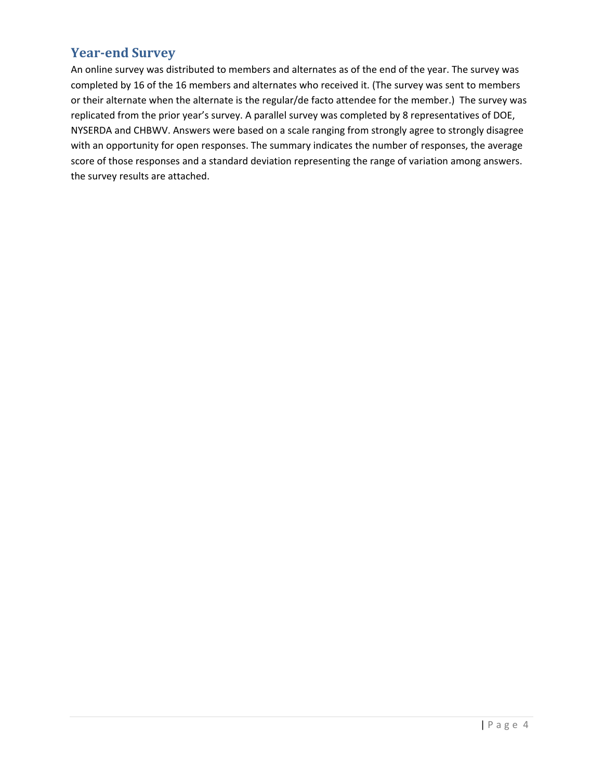# **Yearend Survey**

An online survey was distributed to members and alternates as of the end of the year. The survey was completed by 16 of the 16 members and alternates who received it. (The survey was sent to members or their alternate when the alternate is the regular/de facto attendee for the member.) The survey was replicated from the prior year's survey. A parallel survey was completed by 8 representatives of DOE, NYSERDA and CHBWV. Answers were based on a scale ranging from strongly agree to strongly disagree with an opportunity for open responses. The summary indicates the number of responses, the average score of those responses and a standard deviation representing the range of variation among answers. the survey results are attached.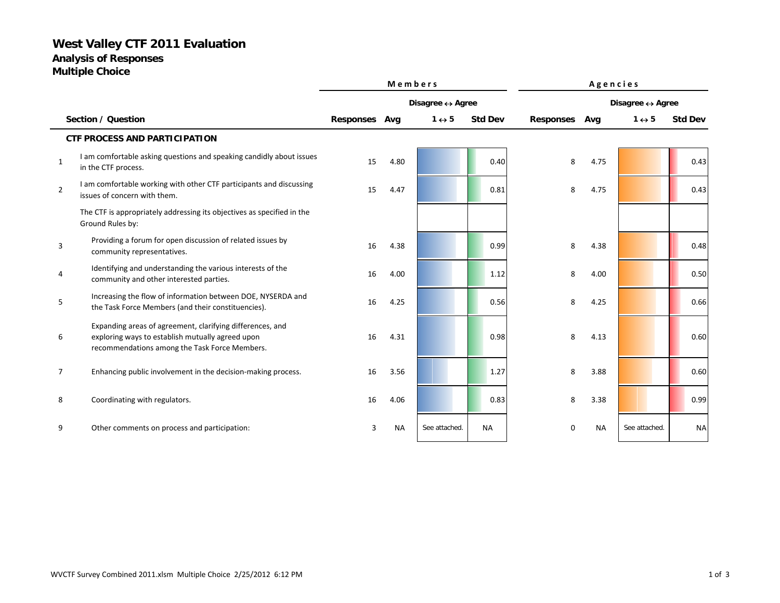# **West Valley CTF 2011 Evaluation**

**Analysis of Responses**

**Multiple Choice**

|                |                                                                                                                                                                |               | Members   |                                  |                |                                  | Agencies  |                       |                |  |  |
|----------------|----------------------------------------------------------------------------------------------------------------------------------------------------------------|---------------|-----------|----------------------------------|----------------|----------------------------------|-----------|-----------------------|----------------|--|--|
|                |                                                                                                                                                                |               |           | Disagree $\leftrightarrow$ Agree |                | Disagree $\leftrightarrow$ Agree |           |                       |                |  |  |
|                | Section / Question                                                                                                                                             | Responses Avg |           | $1 \leftrightarrow 5$            | <b>Std Dev</b> | <b>Responses</b>                 | Avg       | $1 \leftrightarrow 5$ | <b>Std Dev</b> |  |  |
|                | <b>CTF PROCESS AND PARTICIPATION</b>                                                                                                                           |               |           |                                  |                |                                  |           |                       |                |  |  |
| $\mathbf{1}$   | I am comfortable asking questions and speaking candidly about issues<br>in the CTF process.                                                                    | 15            | 4.80      |                                  | 0.40           | 8                                | 4.75      |                       | 0.43           |  |  |
| $\overline{2}$ | I am comfortable working with other CTF participants and discussing<br>issues of concern with them.                                                            | 15            | 4.47      |                                  | 0.81           | 8                                | 4.75      |                       | 0.43           |  |  |
|                | The CTF is appropriately addressing its objectives as specified in the<br>Ground Rules by:                                                                     |               |           |                                  |                |                                  |           |                       |                |  |  |
| 3              | Providing a forum for open discussion of related issues by<br>community representatives.                                                                       | 16            | 4.38      |                                  | 0.99           | 8                                | 4.38      |                       | 0.48           |  |  |
| 4              | Identifying and understanding the various interests of the<br>community and other interested parties.                                                          | 16            | 4.00      |                                  | 1.12           | 8                                | 4.00      |                       | 0.50           |  |  |
| 5              | Increasing the flow of information between DOE, NYSERDA and<br>the Task Force Members (and their constituencies).                                              | 16            | 4.25      |                                  | 0.56           | 8                                | 4.25      |                       | 0.66           |  |  |
| 6              | Expanding areas of agreement, clarifying differences, and<br>exploring ways to establish mutually agreed upon<br>recommendations among the Task Force Members. | 16            | 4.31      |                                  | 0.98           | 8                                | 4.13      |                       | 0.60           |  |  |
| 7              | Enhancing public involvement in the decision-making process.                                                                                                   | 16            | 3.56      |                                  | 1.27           | 8                                | 3.88      |                       | 0.60           |  |  |
| 8              | Coordinating with regulators.                                                                                                                                  | 16            | 4.06      |                                  | 0.83           | 8                                | 3.38      |                       | 0.99           |  |  |
| 9              | Other comments on process and participation:                                                                                                                   | 3             | <b>NA</b> | See attached.                    | <b>NA</b>      | $\mathbf 0$                      | <b>NA</b> | See attached          | <b>NA</b>      |  |  |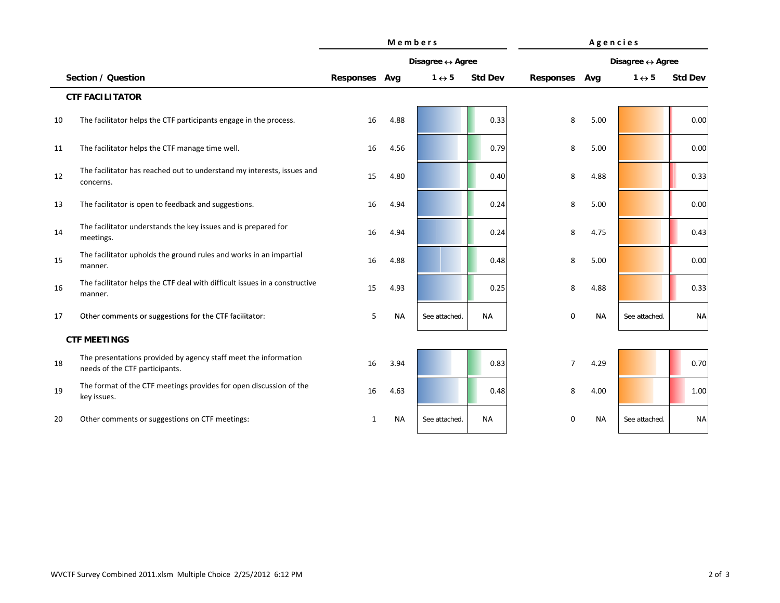|    |                                                                                                   | Members       |           |                       |                | Agencies         |           |                       |                |  |
|----|---------------------------------------------------------------------------------------------------|---------------|-----------|-----------------------|----------------|------------------|-----------|-----------------------|----------------|--|
|    |                                                                                                   |               |           | Disagree ↔ Agree      |                | Disagree ↔ Agree |           |                       |                |  |
|    | Section / Question                                                                                | Responses Avg |           | $1 \leftrightarrow 5$ | <b>Std Dev</b> | <b>Responses</b> | Avg       | $1 \leftrightarrow 5$ | <b>Std Dev</b> |  |
|    | <b>CTF FACILITATOR</b>                                                                            |               |           |                       |                |                  |           |                       |                |  |
| 10 | The facilitator helps the CTF participants engage in the process.                                 | 16            | 4.88      |                       | 0.33           | 8                | 5.00      |                       | 0.00           |  |
| 11 | The facilitator helps the CTF manage time well.                                                   | 16            | 4.56      |                       | 0.79           | 8                | 5.00      |                       | 0.00           |  |
| 12 | The facilitator has reached out to understand my interests, issues and<br>concerns.               | 15            | 4.80      |                       | 0.40           | 8                | 4.88      |                       | 0.33           |  |
| 13 | The facilitator is open to feedback and suggestions.                                              | 16            | 4.94      |                       | 0.24           | 8                | 5.00      |                       | 0.00           |  |
| 14 | The facilitator understands the key issues and is prepared for<br>meetings.                       | 16            | 4.94      |                       | 0.24           | 8                | 4.75      |                       | 0.43           |  |
| 15 | The facilitator upholds the ground rules and works in an impartial<br>manner.                     | 16            | 4.88      |                       | 0.48           | 8                | 5.00      |                       | 0.00           |  |
| 16 | The facilitator helps the CTF deal with difficult issues in a constructive<br>manner.             | 15            | 4.93      |                       | 0.25           | 8                | 4.88      |                       | 0.33           |  |
| 17 | Other comments or suggestions for the CTF facilitator:                                            | 5             | <b>NA</b> | See attached.         | NA             | 0                | <b>NA</b> | See attached.         | <b>NA</b>      |  |
|    | <b>CTF MEETINGS</b>                                                                               |               |           |                       |                |                  |           |                       |                |  |
| 18 | The presentations provided by agency staff meet the information<br>needs of the CTF participants. | 16            | 3.94      |                       | 0.83           | $\overline{7}$   | 4.29      |                       | 0.70           |  |
| 19 | The format of the CTF meetings provides for open discussion of the<br>key issues.                 | 16            | 4.63      |                       | 0.48           | 8                | 4.00      |                       | 1.00           |  |
| 20 | Other comments or suggestions on CTF meetings:                                                    | 1             | <b>NA</b> | See attached.         | <b>NA</b>      | 0                | <b>NA</b> | See attached.         | <b>NA</b>      |  |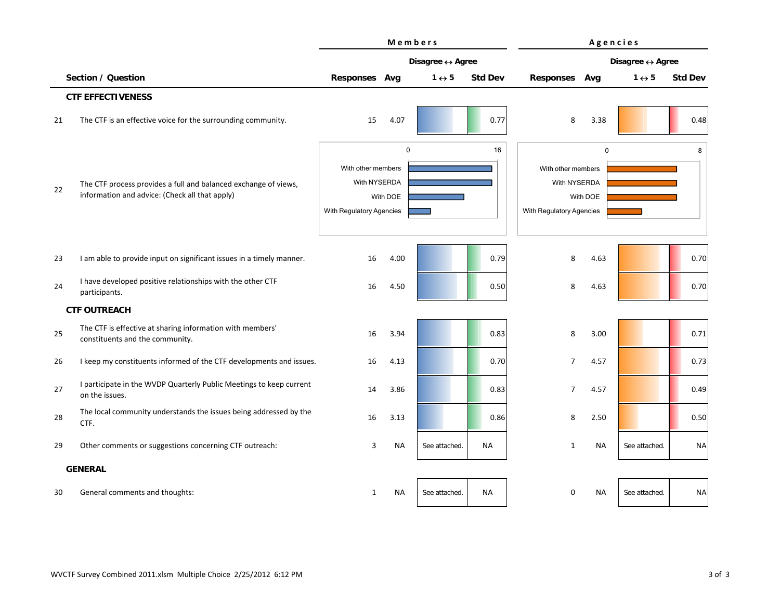|    |                                                                                                                   | Members                                                                                   |           |                       |                | Agencies                                                                                  |           |                       |                |
|----|-------------------------------------------------------------------------------------------------------------------|-------------------------------------------------------------------------------------------|-----------|-----------------------|----------------|-------------------------------------------------------------------------------------------|-----------|-----------------------|----------------|
|    |                                                                                                                   | Disagree ↔ Agree                                                                          |           |                       |                | Disagree ↔ Agree                                                                          |           |                       |                |
|    | Section / Question                                                                                                | Responses Avg                                                                             |           | $1 \leftrightarrow 5$ | <b>Std Dev</b> | <b>Responses</b>                                                                          | Avg       | $1 \leftrightarrow 5$ | <b>Std Dev</b> |
|    | <b>CTF EFFECTIVENESS</b>                                                                                          |                                                                                           |           |                       |                |                                                                                           |           |                       |                |
| 21 | The CTF is an effective voice for the surrounding community.                                                      | 15                                                                                        | 4.07      |                       | 0.77           | 8                                                                                         | 3.38      |                       | 0.48           |
| 22 | The CTF process provides a full and balanced exchange of views,<br>information and advice: (Check all that apply) | $\mathbf 0$<br>With other members<br>With NYSERDA<br>With DOE<br>With Regulatory Agencies |           | 16                    |                | $\mathbf 0$<br>With other members<br>With NYSERDA<br>With DOE<br>With Regulatory Agencies |           | 8                     |                |
| 23 | I am able to provide input on significant issues in a timely manner.                                              | 16                                                                                        | 4.00      |                       | 0.79           | 8                                                                                         | 4.63      |                       | 0.70           |
| 24 | I have developed positive relationships with the other CTF<br>participants.                                       | 16                                                                                        | 4.50      |                       | 0.50           | 8                                                                                         | 4.63      |                       | 0.70           |
|    | <b>CTF OUTREACH</b>                                                                                               |                                                                                           |           |                       |                |                                                                                           |           |                       |                |
| 25 | The CTF is effective at sharing information with members'<br>constituents and the community.                      | 16                                                                                        | 3.94      |                       | 0.83           | 8                                                                                         | 3.00      |                       | 0.71           |
| 26 | I keep my constituents informed of the CTF developments and issues.                                               | 16                                                                                        | 4.13      |                       | 0.70           | $\overline{7}$                                                                            | 4.57      |                       | 0.73           |
| 27 | I participate in the WVDP Quarterly Public Meetings to keep current<br>on the issues.                             | 14                                                                                        | 3.86      |                       | 0.83           | 7                                                                                         | 4.57      |                       | 0.49           |
| 28 | The local community understands the issues being addressed by the<br>CTF.                                         | 16                                                                                        | 3.13      |                       | 0.86           | 8                                                                                         | 2.50      |                       | 0.50           |
| 29 | Other comments or suggestions concerning CTF outreach:                                                            | 3                                                                                         | <b>NA</b> | See attached.         | <b>NA</b>      | $\mathbf{1}$                                                                              | <b>NA</b> | See attached.         | <b>NA</b>      |
|    | <b>GENERAL</b>                                                                                                    |                                                                                           |           |                       |                |                                                                                           |           |                       |                |
| 30 | General comments and thoughts:                                                                                    | 1                                                                                         | <b>NA</b> | See attached.         | <b>NA</b>      | $\mathbf 0$                                                                               | <b>NA</b> | See attached.         | <b>NA</b>      |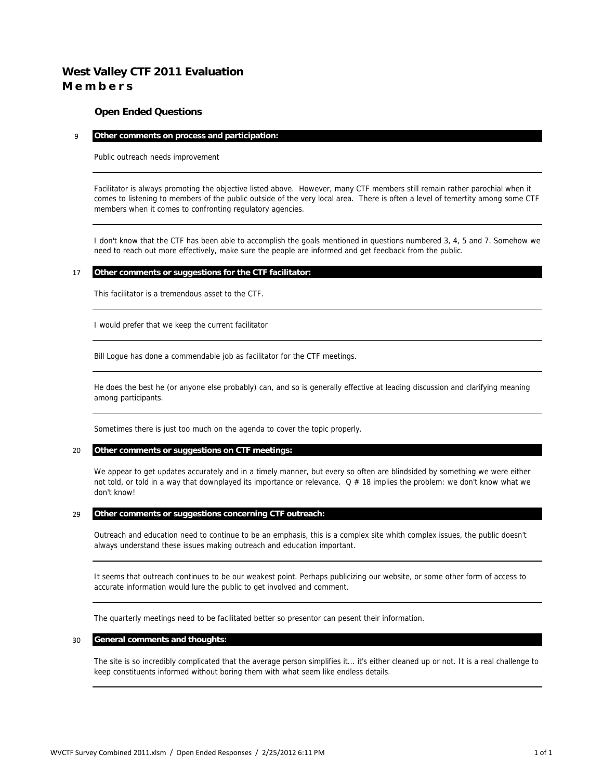## **West Valley CTF 2011 Evaluation M e m b e r s**

## **Open Ended Questions**

#### 9 **Other comments on process and participation:**

Public outreach needs improvement

Facilitator is always promoting the objective listed above. However, many CTF members still remain rather parochial when it comes to listening to members of the public outside of the very local area. There is often a level of temertity among some CTF members when it comes to confronting regulatory agencies.

I don't know that the CTF has been able to accomplish the goals mentioned in questions numbered 3, 4, 5 and 7. Somehow we need to reach out more effectively, make sure the people are informed and get feedback from the public.

### 17 **Other comments or suggestions for the CTF facilitator:**

This facilitator is a tremendous asset to the CTF.

I would prefer that we keep the current facilitator

Bill Logue has done a commendable job as facilitator for the CTF meetings.

He does the best he (or anyone else probably) can, and so is generally effective at leading discussion and clarifying meaning among participants.

Sometimes there is just too much on the agenda to cover the topic properly.

#### 20 **Other comments or suggestions on CTF meetings:**

We appear to get updates accurately and in a timely manner, but every so often are blindsided by something we were either not told, or told in a way that downplayed its importance or relevance.  $Q \# 18$  implies the problem: we don't know what we don't know!

## 29 **Other comments or suggestions concerning CTF outreach:**

Outreach and education need to continue to be an emphasis, this is a complex site whith complex issues, the public doesn't always understand these issues making outreach and education important.

It seems that outreach continues to be our weakest point. Perhaps publicizing our website, or some other form of access to accurate information would lure the public to get involved and comment.

The quarterly meetings need to be facilitated better so presentor can pesent their information.

#### 30 **General comments and thoughts:**

The site is so incredibly complicated that the average person simplifies it... it's either cleaned up or not. It is a real challenge to keep constituents informed without boring them with what seem like endless details.